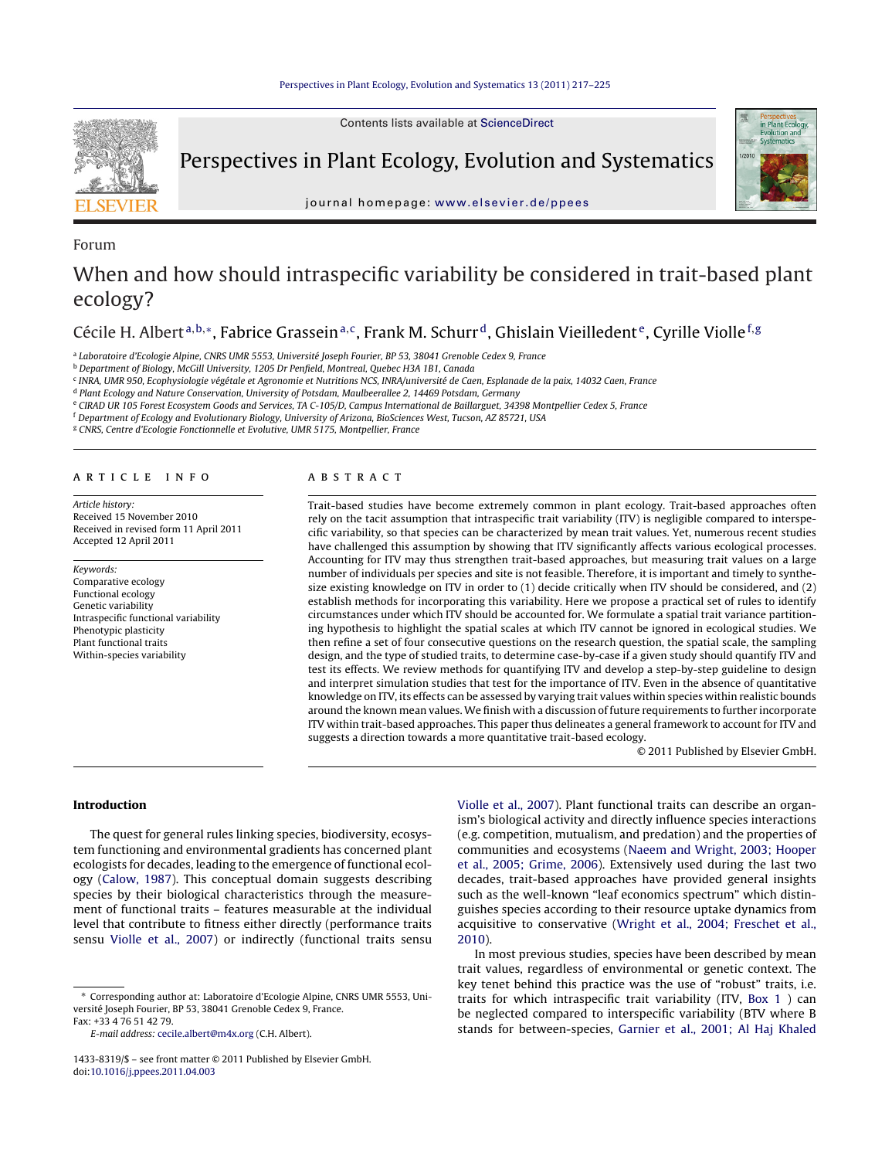

Forum

Contents lists available at [ScienceDirect](http://www.sciencedirect.com/science/journal/14338319)

Perspectives in Plant Ecology, Evolution and Systematics

journal homepage: [www.elsevier.de/ppees](http://www.elsevier.de/ppees)



# When and how should intraspecific variability be considered in trait-based plant ecology?

Cécile H. Albert<sup>a,b,∗</sup>, Fabrice Grassein<sup>a,c</sup>, Frank M. Schurr<sup>d</sup>, Ghislain Vieilledent<sup>e</sup>, Cyrille Violle<sup>f,g</sup>

<sup>a</sup> Laboratoire d'Ecologie Alpine, CNRS UMR 5553, Université Joseph Fourier, BP 53, 38041 Grenoble Cedex 9, France

<sup>b</sup> Department of Biology, McGill University, 1205 Dr Penfield, Montreal, Quebec H3A 1B1, Canada

<sup>c</sup> INRA, UMR 950, Ecophysiologie végétale et Agronomie et Nutritions NCS, INRA/université de Caen, Esplanade de la paix, 14032 Caen, France

<sup>d</sup> Plant Ecology and Nature Conservation, University of Potsdam, Maulbeerallee 2, 14469 Potsdam, Germany

<sup>e</sup> CIRAD UR 105 Forest Ecosystem Goods and Services, TA C-105/D, Campus International de Baillarguet, 34398 Montpellier Cedex 5, France

<sup>f</sup> Department of Ecology and Evolutionary Biology, University of Arizona, BioSciences West, Tucson, AZ 85721, USA

<sup>g</sup> CNRS, Centre d'Ecologie Fonctionnelle et Evolutive, UMR 5175, Montpellier, France

## a r t i c l e i n f o

Article history: Received 15 November 2010 Received in revised form 11 April 2011 Accepted 12 April 2011

### Keywords: Comparative ecology Functional ecology Genetic variability Intraspecific functional variability Phenotypic plasticity Plant functional traits Within-species variability

# A B S T R A C T

Trait-based studies have become extremely common in plant ecology. Trait-based approaches often rely on the tacit assumption that intraspecific trait variability (ITV) is negligible compared to interspecific variability, so that species can be characterized by mean trait values. Yet, numerous recent studies have challenged this assumption by showing that ITV significantly affects various ecological processes. Accounting for ITV may thus strengthen trait-based approaches, but measuring trait values on a large number of individuals per species and site is not feasible. Therefore, it is important and timely to synthesize existing knowledge on ITV in order to (1) decide critically when ITV should be considered, and (2) establish methods for incorporating this variability. Here we propose a practical set of rules to identify circumstances under which ITV should be accounted for. We formulate a spatial trait variance partitioning hypothesis to highlight the spatial scales at which ITV cannot be ignored in ecological studies. We then refine a set of four consecutive questions on the research question, the spatial scale, the sampling design, and the type of studied traits, to determine case-by-case if a given study should quantify ITV and test its effects. We review methods for quantifying ITV and develop a step-by-step guideline to design and interpret simulation studies that test for the importance of ITV. Even in the absence of quantitative knowledge on ITV, its effects can be assessed by varying trait values within species within realistic bounds around the known mean values. We finish with a discussion of future requirements to further incorporate ITV within trait-based approaches. This paper thus delineates a general framework to account for ITV and suggests a direction towards a more quantitative trait-based ecology.

© 2011 Published by Elsevier GmbH.

## **Introduction**

The quest for general rules linking species, biodiversity, ecosystem functioning and environmental gradients has concerned plant ecologists for decades, leading to the emergence of functional ecology [\(Calow,](#page-7-0) [1987\).](#page-7-0) This conceptual domain suggests describing species by their biological characteristics through the measurement of functional traits – features measurable at the individual level that contribute to fitness either directly (performance traits sensu [Violle](#page-8-0) et [al.,](#page-8-0) [2007\)](#page-8-0) or indirectly (functional traits sensu

E-mail address: [cecile.albert@m4x.org](mailto:cecile.albert@m4x.org) (C.H. Albert).

[Violle](#page-8-0) et [al.,](#page-8-0) [2007\).](#page-8-0) Plant functional traits can describe an organism's biological activity and directly influence species interactions (e.g. competition, mutualism, and predation) and the properties of communities and ecosystems [\(Naeem](#page-8-0) [and](#page-8-0) [Wright,](#page-8-0) [2003;](#page-8-0) [Hooper](#page-8-0) et [al.,](#page-8-0) [2005;](#page-8-0) [Grime,](#page-8-0) [2006\).](#page-8-0) Extensively used during the last two decades, trait-based approaches have provided general insights such as the well-known "leaf economics spectrum" which distinguishes species according to their resource uptake dynamics from acquisitive to conservative [\(Wright](#page-8-0) et [al.,](#page-8-0) [2004;](#page-8-0) [Freschet](#page-8-0) et [al.,](#page-8-0) [2010\).](#page-8-0)

In most previous studies, species have been described by mean trait values, regardless of environmental or genetic context. The key tenet behind this practice was the use of "robust" traits, i.e. traits for which intraspecific trait variability (ITV, [Box](#page-1-0) [1](#page-1-0) ) can be neglected compared to interspecific variability (BTV where B stands for between-species, [Garnier](#page-7-0) et [al.,](#page-7-0) [2001;](#page-7-0) [Al](#page-7-0) [Haj](#page-7-0) [Khaled](#page-7-0)

<sup>∗</sup> Corresponding author at: Laboratoire d'Ecologie Alpine, CNRS UMR 5553, Université Joseph Fourier, BP 53, 38041 Grenoble Cedex 9, France. Fax: +33 4 76 51 42 79.

<sup>1433-8319/\$</sup> – see front matter © 2011 Published by Elsevier GmbH. doi:[10.1016/j.ppees.2011.04.003](dx.doi.org/10.1016/j.ppees.2011.04.003)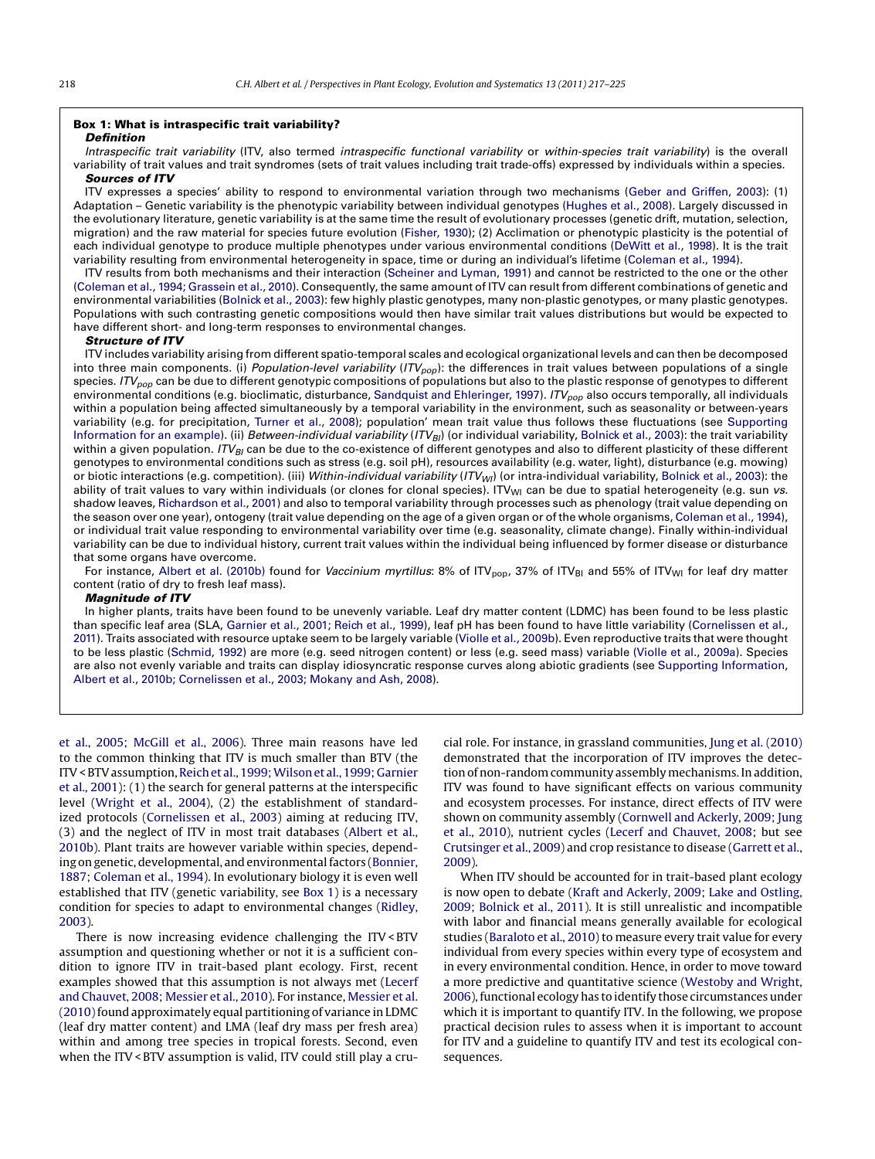## <span id="page-1-0"></span>**Box 1: What is intraspecific trait variability?**

## *Definition*

Intraspecific trait variability (ITV, also termed intraspecific functional variability or within-species trait variability) is the overall variability of trait values and trait syndromes (sets of trait values including trait trade-offs) expressed by individuals within a species. *Sources of ITV*

ITV expresses a species' ability to respond to environmental variation through two mechanisms [\(Geber](#page-7-0) [and](#page-7-0) [Griffen,](#page-7-0) [2003\):](#page-7-0) (1) Adaptation – Genetic variability is the phenotypic variability between individual genotypes ([Hughes](#page-7-0) et [al.,](#page-7-0) [2008\).](#page-7-0) Largely discussed in the evolutionary literature, genetic variability is at the same time the result of evolutionary processes (genetic drift, mutation, selection, migration) and the raw material for species future evolution ([Fisher,](#page-7-0) [1930\);](#page-7-0) (2) Acclimation or phenotypic plasticity is the potential of each individual genotype to produce multiple phenotypes under various environmental conditions [\(DeWitt](#page-7-0) et [al.,](#page-7-0) [1998\).](#page-7-0) It is the trait variability resulting from environmental heterogeneity in space, time or during an individual's lifetime ([Coleman](#page-7-0) et [al.,](#page-7-0) [1994\).](#page-7-0)

ITV results from both mechanisms and their interaction ([Scheiner](#page-8-0) [and](#page-8-0) [Lyman,](#page-8-0) [1991\)](#page-8-0) and cannot be restricted to the one or the other ([Coleman](#page-7-0) et [al.,](#page-7-0) [1994;](#page-7-0) [Grassein](#page-7-0) [et](#page-7-0) [al.,](#page-7-0) [2010\).](#page-7-0) Consequently, the same amount of ITV can result from different combinations of genetic and environmental variabilities [\(Bolnick](#page-7-0) et [al.,](#page-7-0) [2003\):](#page-7-0) few highly plastic genotypes, many non-plastic genotypes, or many plastic genotypes. Populations with such contrasting genetic compositions would then have similar trait values distributions but would be expected to have different short- and long-term responses to environmental changes.

#### *Structure of ITV*

ITV includes variability arising from different spatio-temporal scales and ecological organizational levels and can then be decomposed into three main components. (i) Population-level variability  $(ITV_{pop})$ : the differences in trait values between populations of a single species.  $ITV_{pop}$  can be due to different genotypic compositions of populations but also to the plastic response of genotypes to different environmental conditions (e.g. bioclimatic, disturbance, [Sandquist](#page-8-0) [and](#page-8-0) [Ehleringer,](#page-8-0) [1997\).](#page-8-0)  $ITV_{pop}$  also occurs temporally, all individuals within a population being affected simultaneously by a temporal variability in the environment, such as seasonality or between-years variability (e.g. for precipitation, [Turner](#page-8-0) et [al.,](#page-8-0) [2008\);](#page-8-0) population' mean trait value thus follows these fluctuations (see [Supporting](#page-7-0) [Information](#page-7-0) [for](#page-7-0) [an](#page-7-0) [example\).](#page-7-0) (ii) Between-individual variability (ITV<sub>BI</sub>) (or individual variability, [Bolnick](#page-7-0) et [al.,](#page-7-0) [2003\):](#page-7-0) the trait variability within a given population.  $ITV_{BI}$  can be due to the co-existence of different genotypes and also to different plasticity of these different genotypes to environmental conditions such as stress (e.g. soil pH), resources availability (e.g. water, light), disturbance (e.g. mowing) or biotic interactions (e.g. competition). (iii) Within-individual variability (ITV<sub>WI</sub>) (or intra-individual variability, [Bolnick](#page-7-0) et [al.,](#page-7-0) [2003\):](#page-7-0) the ability of trait values to vary within individuals (or clones for clonal species). ITV<sub>WI</sub> can be due to spatial heterogeneity (e.g. sun vs. shadow leaves, [Richardson](#page-8-0) et [al.,](#page-8-0) [2001\)](#page-8-0) and also to temporal variability through processes such as phenology (trait value depending on the season over one year), ontogeny (trait value depending on the age of a given organ or of the whole organisms, [Coleman](#page-7-0) et [al.,](#page-7-0) [1994\),](#page-7-0) or individual trait value responding to environmental variability over time (e.g. seasonality, climate change). Finally within-individual variability can be due to individual history, current trait values within the individual being influenced by former disease or disturbance that some organs have overcome.

For instance, [Albert](#page-7-0) et [al.](#page-7-0) [\(2010b\)](#page-7-0) found for Vaccinium myrtillus: 8% of ITV<sub>pop</sub>, 37% of ITV<sub>BI</sub> and 55% of ITV<sub>WI</sub> for leaf dry matter content (ratio of dry to fresh leaf mass).

## *Magnitude of ITV*

In higher plants, traits have been found to be unevenly variable. Leaf dry matter content (LDMC) has been found to be less plastic than specific leaf area (SLA, [Garnier](#page-7-0) et [al.,](#page-7-0) [2001;](#page-7-0) [Reich](#page-7-0) et [al.,](#page-7-0) [1999\),](#page-7-0) leaf pH has been found to have little variability ([Cornelissen](#page-7-0) [et](#page-7-0) [al.,](#page-7-0) [2011\).](#page-7-0) Traits associated with resource uptake seem to be largely variable ([Violle](#page-8-0) et [al.,](#page-8-0) [2009b\).](#page-8-0) Even reproductive traits that were thought to be less plastic [\(Schmid,](#page-8-0) [1992\)](#page-8-0) are more (e.g. seed nitrogen content) or less (e.g. seed mass) variable [\(Violle](#page-8-0) et [al.,](#page-8-0) [2009a\).](#page-8-0) Species are also not evenly variable and traits can display idiosyncratic response curves along abiotic gradients (see [Supporting](#page-7-0) [Information,](#page-7-0) [Albert](#page-7-0) et [al.,](#page-7-0) [2010b;](#page-7-0) [Cornelissen](#page-7-0) et [al.,](#page-7-0) [2003;](#page-7-0) [Mokany](#page-7-0) [and](#page-7-0) [Ash,](#page-7-0) [2008\).](#page-7-0)

et [al.,](#page-7-0) [2005;](#page-7-0) [McGill](#page-7-0) et [al.,](#page-7-0) [2006\).](#page-7-0) Three main reasons have led to the common thinking that ITV is much smaller than BTV (the ITV < BTV assumption, Reich et [al.,](#page-8-0) [1999;](#page-8-0) Wilson et al., 1999; [Garnier](#page-8-0) et [al.,](#page-8-0) [2001\):](#page-8-0) (1) the search for general patterns at the interspecific level [\(Wright](#page-8-0) et [al.,](#page-8-0) [2004\),](#page-8-0) (2) the establishment of standardized protocols [\(Cornelissen](#page-7-0) et [al.,](#page-7-0) [2003\)](#page-7-0) aiming at reducing ITV, (3) and the neglect of ITV in most trait databases ([Albert](#page-7-0) et [al.,](#page-7-0) [2010b\).](#page-7-0) Plant traits are however variable within species, depend-ing on genetic, developmental, and environmental factors [\(Bonnier,](#page-7-0) [1887;](#page-7-0) [Coleman](#page-7-0) et [al.,](#page-7-0) [1994\).](#page-7-0) In evolutionary biology it is even well established that ITV (genetic variability, see Box 1) is a necessary condition for species to adapt to environmental changes [\(Ridley,](#page-8-0) [2003\).](#page-8-0)

There is now increasing evidence challenging the ITV< BTV assumption and questioning whether or not it is a sufficient condition to ignore ITV in trait-based plant ecology. First, recent examples showed that this assumption is not always met ([Lecerf](#page-8-0) [and](#page-8-0) [Chauvet,](#page-8-0) [2008;](#page-8-0) [Messier](#page-8-0) et [al.,](#page-8-0) [2010\).](#page-8-0) For instance, [Messier](#page-8-0) et [al.](#page-8-0) [\(2010\)fo](#page-8-0)und approximately equal partitioning of variance in LDMC (leaf dry matter content) and LMA (leaf dry mass per fresh area) within and among tree species in tropical forests. Second, even when the ITV < BTV assumption is valid, ITV could still play a crucial role. For instance, in grassland communities, [Jung](#page-7-0) et [al.](#page-7-0) [\(2010\)](#page-7-0) demonstrated that the incorporation of ITV improves the detection of non-random community assembly mechanisms. In addition, ITV was found to have significant effects on various community and ecosystem processes. For instance, direct effects of ITV were shown on community assembly [\(Cornwell](#page-7-0) [and](#page-7-0) [Ackerly,](#page-7-0) [2009;](#page-7-0) [Jung](#page-7-0) et [al.,](#page-7-0) [2010\),](#page-7-0) nutrient cycles [\(Lecerf](#page-8-0) [and](#page-8-0) [Chauvet,](#page-8-0) [2008;](#page-8-0) but see [Crutsinger](#page-7-0) et [al.,](#page-7-0) [2009\)](#page-7-0) and crop resistance to disease [\(Garrett](#page-7-0) et [al.,](#page-7-0) [2009\).](#page-7-0)

When ITV should be accounted for in trait-based plant ecology is now open to debate [\(Kraft](#page-8-0) [and](#page-8-0) [Ackerly,](#page-8-0) [2009;](#page-8-0) [Lake](#page-8-0) [and](#page-8-0) [Ostling,](#page-8-0) [2009;](#page-8-0) [Bolnick](#page-8-0) et [al.,](#page-8-0) [2011\).](#page-8-0) It is still unrealistic and incompatible with labor and financial means generally available for ecological studies ([Baraloto](#page-7-0) et [al.,](#page-7-0) [2010\)](#page-7-0) to measure every trait value for every individual from every species within every type of ecosystem and in every environmental condition. Hence, in order to move toward a more predictive and quantitative science [\(Westoby](#page-8-0) [and](#page-8-0) [Wright,](#page-8-0) [2006\),](#page-8-0) functional ecology has to identify those circumstances under which it is important to quantify ITV. In the following, we propose practical decision rules to assess when it is important to account for ITV and a guideline to quantify ITV and test its ecological consequences.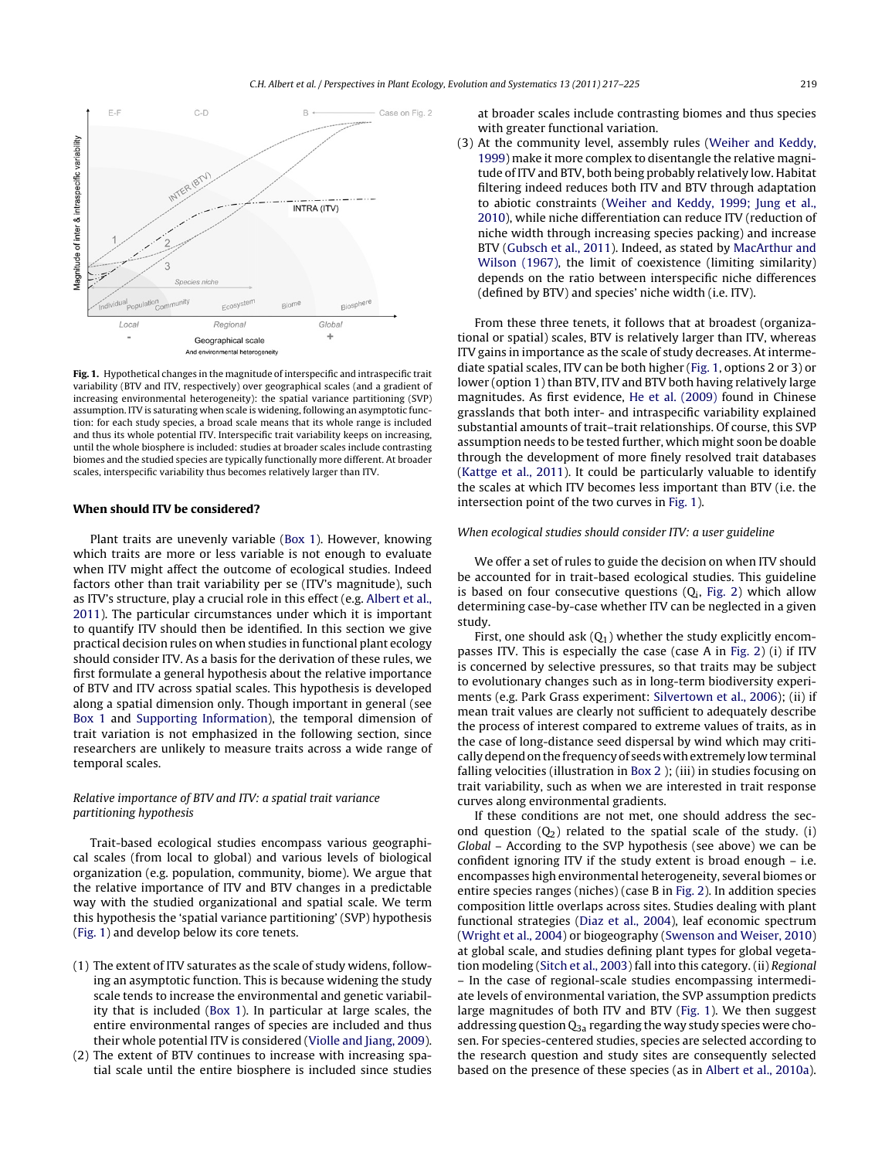

**Fig. 1.** Hypothetical changes in the magnitude of interspecific and intraspecific trait variability (BTV and ITV, respectively) over geographical scales (and a gradient of increasing environmental heterogeneity): the spatial variance partitioning (SVP) assumption. ITV is saturating when scale is widening, following an asymptotic function: for each study species, a broad scale means that its whole range is included and thus its whole potential ITV. Interspecific trait variability keeps on increasing, until the whole biosphere is included: studies at broader scales include contrasting biomes and the studied species are typically functionally more different. At broader scales, interspecific variability thus becomes relatively larger than ITV.

# **When should ITV be considered?**

Plant traits are unevenly variable ([Box](#page-1-0) [1\).](#page-1-0) However, knowing which traits are more or less variable is not enough to evaluate when ITV might affect the outcome of ecological studies. Indeed factors other than trait variability per se (ITV's magnitude), such as ITV's structure, play a crucial role in this effect (e.g. [Albert](#page-7-0) et [al.,](#page-7-0) [2011\).](#page-7-0) The particular circumstances under which it is important to quantify ITV should then be identified. In this section we give practical decision rules on when studies in functional plant ecology should consider ITV. As a basis for the derivation of these rules, we first formulate a general hypothesis about the relative importance of BTV and ITV across spatial scales. This hypothesis is developed along a spatial dimension only. Though important in general (see [Box](#page-1-0) [1](#page-1-0) and [Supporting](#page-7-0) [Information\),](#page-7-0) the temporal dimension of trait variation is not emphasized in the following section, since researchers are unlikely to measure traits across a wide range of temporal scales.

# Relative importance of BTV and ITV: a spatial trait variance partitioning hypothesis

Trait-based ecological studies encompass various geographical scales (from local to global) and various levels of biological organization (e.g. population, community, biome). We argue that the relative importance of ITV and BTV changes in a predictable way with the studied organizational and spatial scale. We term this hypothesis the 'spatial variance partitioning' (SVP) hypothesis (Fig. 1) and develop below its core tenets.

- (1) The extent of ITV saturates as the scale of study widens, following an asymptotic function. This is because widening the study scale tends to increase the environmental and genetic variability that is included [\(Box](#page-1-0) [1\).](#page-1-0) In particular at large scales, the entire environmental ranges of species are included and thus their whole potential ITV is considered [\(Violle](#page-8-0) [and](#page-8-0) [Jiang,](#page-8-0) [2009\).](#page-8-0)
- (2) The extent of BTV continues to increase with increasing spatial scale until the entire biosphere is included since studies

at broader scales include contrasting biomes and thus species with greater functional variation.

(3) At the community level, assembly rules ([Weiher](#page-8-0) [and](#page-8-0) [Keddy,](#page-8-0) [1999\)](#page-8-0) make it more complex to disentangle the relative magnitude of ITV and BTV, both being probably relatively low. Habitat filtering indeed reduces both ITV and BTV through adaptation to abiotic constraints ([Weiher](#page-8-0) [and](#page-8-0) [Keddy,](#page-8-0) [1999;](#page-8-0) [Jung](#page-8-0) et [al.,](#page-8-0) [2010\),](#page-8-0) while niche differentiation can reduce ITV (reduction of niche width through increasing species packing) and increase BTV [\(Gubsch](#page-7-0) et [al.,](#page-7-0) [2011\).](#page-7-0) Indeed, as stated by [MacArthur](#page-8-0) [and](#page-8-0) [Wilson](#page-8-0) [\(1967\),](#page-8-0) the limit of coexistence (limiting similarity) depends on the ratio between interspecific niche differences (defined by BTV) and species' niche width (i.e. ITV).

From these three tenets, it follows that at broadest (organizational or spatial) scales, BTV is relatively larger than ITV, whereas ITV gains in importance as the scale of study decreases. At intermediate spatial scales, ITV can be both higher (Fig. 1, options 2 or 3) or lower (option 1) than BTV, ITV and BTV both having relatively large magnitudes. As first evidence, [He](#page-7-0) et [al.](#page-7-0) [\(2009\)](#page-7-0) found in Chinese grasslands that both inter- and intraspecific variability explained substantial amounts of trait–trait relationships. Of course, this SVP assumption needs to be tested further, which might soon be doable through the development of more finely resolved trait databases ([Kattge](#page-7-0) et [al.,](#page-7-0) [2011\).](#page-7-0) It could be particularly valuable to identify the scales at which ITV becomes less important than BTV (i.e. the intersection point of the two curves in Fig. 1).

# When ecological studies should consider ITV: a user guideline

We offer a set of rules to guide the decision on when ITV should be accounted for in trait-based ecological studies. This guideline is based on four consecutive questions  $(Q_i, Fig. 2)$  $(Q_i, Fig. 2)$  $(Q_i, Fig. 2)$  which allow determining case-by-case whether ITV can be neglected in a given study.

First, one should ask  $(Q_1)$  whether the study explicitly encompasses ITV. This is especially the case (case A in [Fig.](#page-3-0) 2) (i) if ITV is concerned by selective pressures, so that traits may be subject to evolutionary changes such as in long-term biodiversity experiments (e.g. Park Grass experiment: [Silvertown](#page-8-0) et [al.,](#page-8-0) [2006\);](#page-8-0) (ii) if mean trait values are clearly not sufficient to adequately describe the process of interest compared to extreme values of traits, as in the case of long-distance seed dispersal by wind which may critically depend on the frequency of seeds with extremely low terminal falling velocities (illustration in [Box](#page-4-0) [2](#page-4-0) ); (iii) in studies focusing on trait variability, such as when we are interested in trait response curves along environmental gradients.

If these conditions are not met, one should address the second question  $(Q_2)$  related to the spatial scale of the study. (i) Global – According to the SVP hypothesis (see above) we can be confident ignoring ITV if the study extent is broad enough – i.e. encompasses high environmental heterogeneity, several biomes or entire species ranges (niches) (case B in [Fig.](#page-3-0) 2). In addition species composition little overlaps across sites. Studies dealing with plant functional strategies [\(Diaz](#page-7-0) et [al.,](#page-7-0) [2004\),](#page-7-0) leaf economic spectrum ([Wright](#page-8-0) et [al.,](#page-8-0) [2004\)](#page-8-0) or biogeography [\(Swenson](#page-8-0) [and](#page-8-0) [Weiser,](#page-8-0) [2010\)](#page-8-0) at global scale, and studies defining plant types for global vegetation modeling ([Sitch](#page-8-0) et [al.,](#page-8-0) [2003\)](#page-8-0) fall into this category. (ii) Regional – In the case of regional-scale studies encompassing intermediate levels of environmental variation, the SVP assumption predicts large magnitudes of both ITV and BTV (Fig. 1). We then suggest addressing question  $Q_{3a}$  regarding the way study species were chosen. For species-centered studies, species are selected according to the research question and study sites are consequently selected based on the presence of these species (as in [Albert](#page-7-0) et [al.,](#page-7-0) [2010a\).](#page-7-0)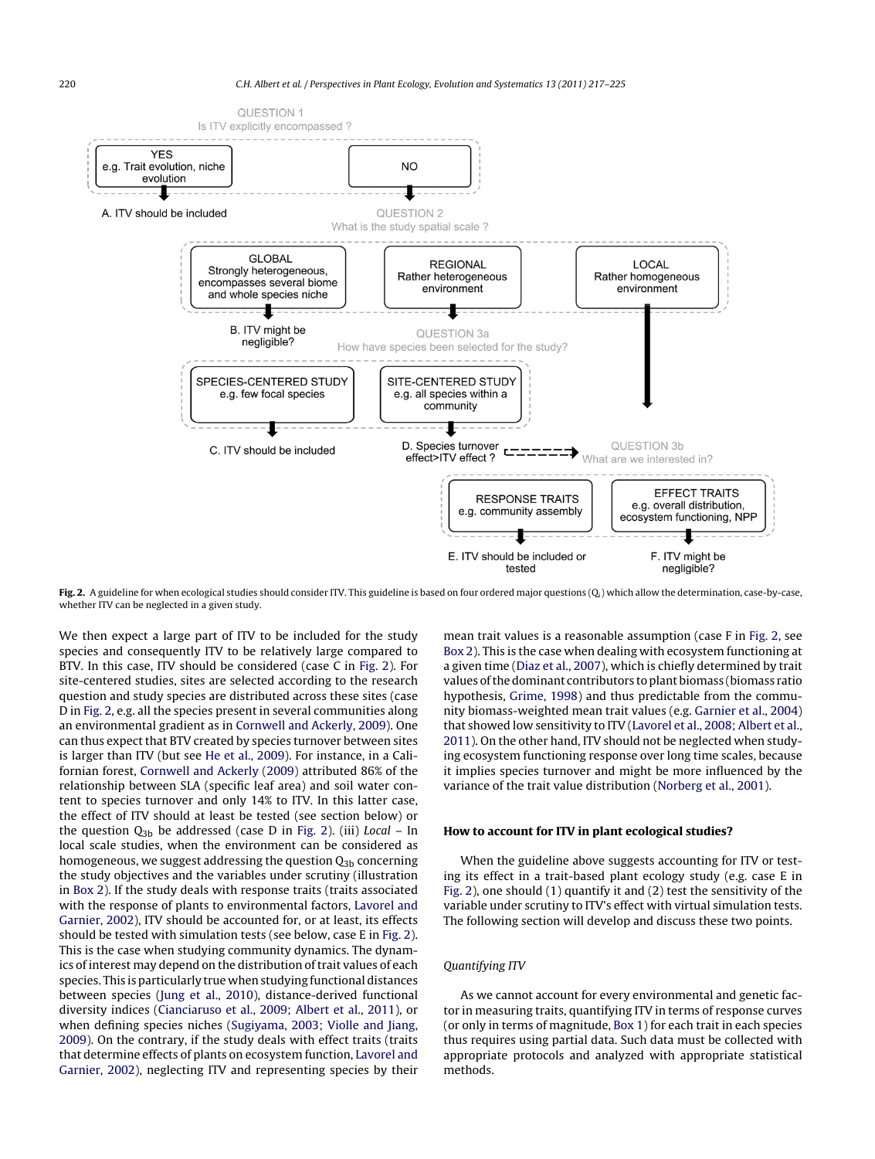<span id="page-3-0"></span>

Fig. 2. A guideline for when ecological studies should consider ITV. This guideline is based on four ordered major questions (Q<sub>i</sub>) which allow the determination, case-by-case, whether ITV can be neglected in a given study.

We then expect a large part of ITV to be included for the study species and consequently ITV to be relatively large compared to BTV. In this case, ITV should be considered (case C in Fig. 2). For site-centered studies, sites are selected according to the research question and study species are distributed across these sites (case D in Fig. 2, e.g. all the species present in several communities along an environmental gradient as in [Cornwell](#page-7-0) [and](#page-7-0) [Ackerly,](#page-7-0) [2009\).](#page-7-0) One can thus expect that BTV created by species turnover between sites is larger than ITV (but see [He](#page-7-0) et [al.,](#page-7-0) [2009\).](#page-7-0) For instance, in a Californian forest, [Cornwell](#page-7-0) [and](#page-7-0) [Ackerly](#page-7-0) [\(2009\)](#page-7-0) attributed 86% of the relationship between SLA (specific leaf area) and soil water content to species turnover and only 14% to ITV. In this latter case, the effect of ITV should at least be tested (see section below) or the question  $Q_{3b}$  be addressed (case D in Fig. 2). (iii) Local – In local scale studies, when the environment can be considered as homogeneous, we suggest addressing the question  $Q_{3b}$  concerning the study objectives and the variables under scrutiny (illustration in [Box](#page-4-0) [2\).](#page-4-0) If the study deals with response traits (traits associated with the response of plants to environmental factors, [Lavorel](#page-8-0) [and](#page-8-0) [Garnier,](#page-8-0) [2002\),](#page-8-0) ITV should be accounted for, or at least, its effects should be tested with simulation tests (see below, case E in Fig. 2). This is the case when studying community dynamics. The dynamics of interest may depend on the distribution of trait values of each species. This is particularly true when studying functional distances between species ([Jung](#page-7-0) et [al.,](#page-7-0) [2010\),](#page-7-0) distance-derived functional diversity indices [\(Cianciaruso](#page-7-0) et [al.,](#page-7-0) [2009;](#page-7-0) [Albert](#page-7-0) et [al.,](#page-7-0) [2011\),](#page-7-0) or when defining species niches [\(Sugiyama,](#page-8-0) [2003;](#page-8-0) [Violle](#page-8-0) [and](#page-8-0) [Jiang,](#page-8-0) [2009\).](#page-8-0) On the contrary, if the study deals with effect traits (traits that determine effects of plants on ecosystem function, [Lavorel](#page-8-0) [and](#page-8-0) [Garnier,](#page-8-0) [2002\),](#page-8-0) neglecting ITV and representing species by their mean trait values is a reasonable assumption (case F in Fig. 2, see [Box](#page-4-0) [2\).](#page-4-0) This is the case when dealing with ecosystem functioning at a given time ([Diaz](#page-7-0) et [al.,](#page-7-0) [2007\),](#page-7-0) which is chiefly determined by trait values of the dominant contributors to plant biomass (biomass ratio hypothesis, [Grime,](#page-7-0) [1998\)](#page-7-0) and thus predictable from the community biomass-weighted mean trait values (e.g. [Garnier](#page-7-0) et [al.,](#page-7-0) [2004\)](#page-7-0) that showed low sensitivity to ITV ([Lavorel](#page-8-0) et [al.,](#page-8-0) [2008;](#page-8-0) [Albert](#page-8-0) et [al.,](#page-8-0) [2011\).](#page-8-0) On the other hand, ITV should not be neglected when studying ecosystem functioning response over long time scales, because it implies species turnover and might be more influenced by the variance of the trait value distribution ([Norberg](#page-8-0) et [al.,](#page-8-0) [2001\).](#page-8-0)

## **How to account for ITV in plant ecological studies?**

When the guideline above suggests accounting for ITV or testing its effect in a trait-based plant ecology study (e.g. case E in Fig. 2), one should (1) quantify it and (2) test the sensitivity of the variable under scrutiny to ITV's effect with virtual simulation tests. The following section will develop and discuss these two points.

# Quantifying ITV

As we cannot account for every environmental and genetic factor in measuring traits, quantifying ITV in terms of response curves (or only in terms of magnitude, [Box](#page-1-0) [1\)](#page-1-0) for each trait in each species thus requires using partial data. Such data must be collected with appropriate protocols and analyzed with appropriate statistical methods.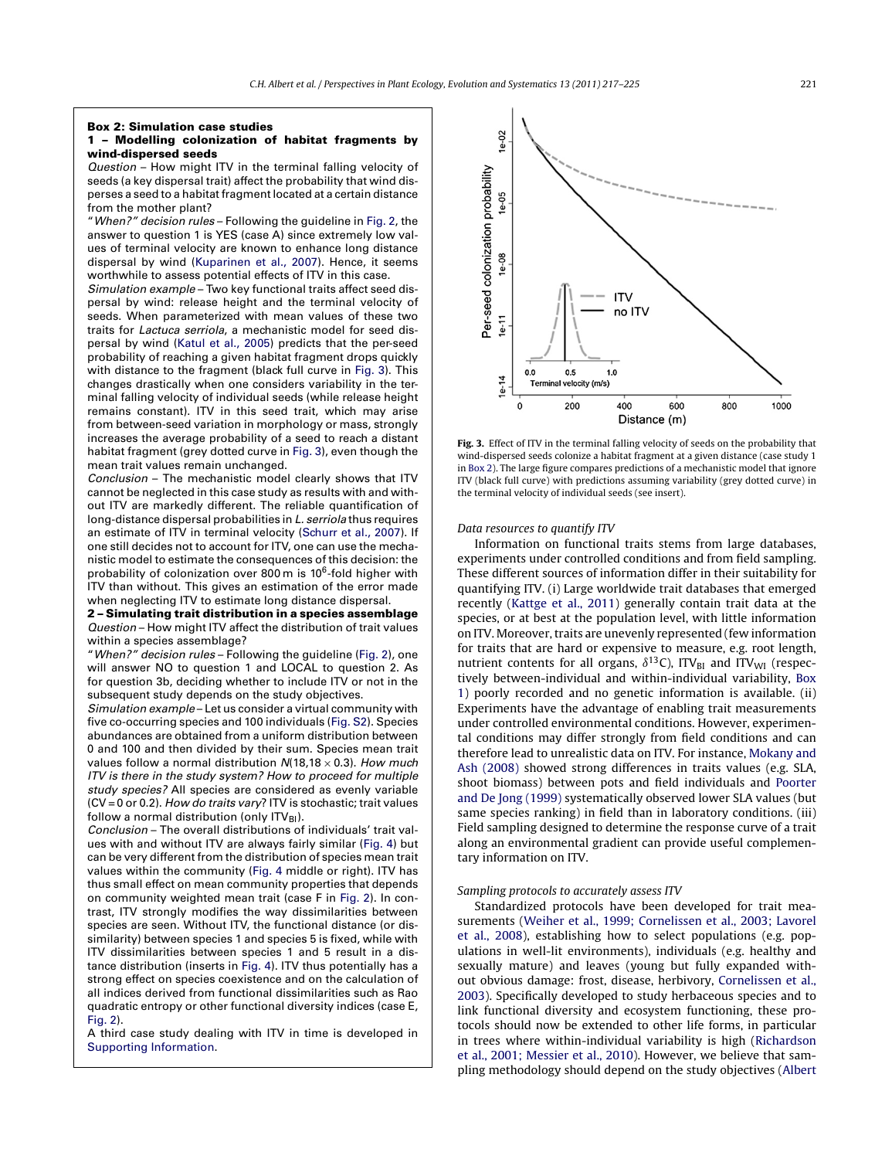#### <span id="page-4-0"></span>**Box 2: Simulation case studies**

## **1 – Modelling colonization of habitat fragments by wind-dispersed seeds**

Question – How might ITV in the terminal falling velocity of seeds (a key dispersal trait) affect the probability that wind disperses a seed to a habitat fragment located at a certain distance from the mother plant?

"When?" decision rules – Following the guideline in [Fig.](#page-3-0) 2, the answer to question 1 is YES (case A) since extremely low values of terminal velocity are known to enhance long distance dispersal by wind [\(Kuparinen](#page-8-0) et [al.,](#page-8-0) [2007\).](#page-8-0) Hence, it seems worthwhile to assess potential effects of ITV in this case.

Simulation example – Two key functional traits affect seed dispersal by wind: release height and the terminal velocity of seeds. When parameterized with mean values of these two traits for Lactuca serriola, a mechanistic model for seed dispersal by wind ([Katul](#page-8-0) et [al.,](#page-8-0) [2005\)](#page-8-0) predicts that the per-seed probability of reaching a given habitat fragment drops quickly with distance to the fragment (black full curve in Fig. 3). This changes drastically when one considers variability in the terminal falling velocity of individual seeds (while release height remains constant). ITV in this seed trait, which may arise from between-seed variation in morphology or mass, strongly increases the average probability of a seed to reach a distant habitat fragment (grey dotted curve in Fig. 3), even though the mean trait values remain unchanged.

Conclusion – The mechanistic model clearly shows that ITV cannot be neglected in this case study as results with and without ITV are markedly different. The reliable quantification of long-distance dispersal probabilities in L. serriola thus requires an estimate of ITV in terminal velocity [\(Schurr](#page-8-0) et [al.,](#page-8-0) [2007\).](#page-8-0) If one still decides not to account for ITV, one can use the mechanistic model to estimate the consequences of this decision: the probability of colonization over 800 m is 106-fold higher with ITV than without. This gives an estimation of the error made when neglecting ITV to estimate long distance dispersal.

**2 – Simulating trait distribution in a species assemblage** Question – How might ITV affect the distribution of trait values within a species assemblage?

"When?" decision rules – Following the guideline ([Fig.](#page-3-0) 2), one will answer NO to question 1 and LOCAL to question 2. As for question 3b, deciding whether to include ITV or not in the subsequent study depends on the study objectives.

Simulation example – Let us consider a virtual community with five co-occurring species and 100 individuals (Fig. [S2\).](#page-7-0) Species abundances are obtained from a uniform distribution between 0 and 100 and then divided by their sum. Species mean trait values follow a normal distribution  $N(18,18 \times 0.3)$ . How much ITV is there in the study system? How to proceed for multiple study species? All species are considered as evenly variable  $(CV = 0 \text{ or } 0.2)$ . How do traits vary? ITV is stochastic; trait values follow a normal distribution (only  $ITV_{BI}$ ).

Conclusion – The overall distributions of individuals' trait values with and without ITV are always fairly similar ([Fig.](#page-6-0) 4) but can be very different from the distribution of species mean trait values within the community [\(Fig.](#page-6-0) 4 middle or right). ITV has thus small effect on mean community properties that depends on community weighted mean trait (case F in [Fig.](#page-3-0) 2). In contrast, ITV strongly modifies the way dissimilarities between species are seen. Without ITV, the functional distance (or dissimilarity) between species 1 and species 5 is fixed, while with ITV dissimilarities between species 1 and 5 result in a distance distribution (inserts in [Fig.](#page-6-0) 4). ITV thus potentially has a strong effect on species coexistence and on the calculation of all indices derived from functional dissimilarities such as Rao quadratic entropy or other functional diversity indices (case E, [Fig.](#page-3-0) 2).

A third case study dealing with ITV in time is developed in [Supporting](#page-7-0) [Information.](#page-7-0)



**Fig. 3.** Effect of ITV in the terminal falling velocity of seeds on the probability that wind-dispersed seeds colonize a habitat fragment at a given distance (case study 1 in Box 2). The large figure compares predictions of a mechanistic model that ignore ITV (black full curve) with predictions assuming variability (grey dotted curve) in the terminal velocity of individual seeds (see insert).

### Data resources to quantify ITV

Information on functional traits stems from large databases, experiments under controlled conditions and from field sampling. These different sources of information differ in their suitability for quantifying ITV. (i) Large worldwide trait databases that emerged recently [\(Kattge](#page-7-0) et [al.,](#page-7-0) [2011\)](#page-7-0) generally contain trait data at the species, or at best at the population level, with little information on ITV. Moreover, traits are unevenly represented (few information for traits that are hard or expensive to measure, e.g. root length, nutrient contents for all organs,  $\delta^{13}$ C), ITV<sub>BI</sub> and ITV<sub>WI</sub> (respectively between-individual and within-individual variability, [Box](#page-1-0) [1\)](#page-1-0) poorly recorded and no genetic information is available. (ii) Experiments have the advantage of enabling trait measurements under controlled environmental conditions. However, experimental conditions may differ strongly from field conditions and can therefore lead to unrealistic data on ITV. For instance, [Mokany](#page-8-0) [and](#page-8-0) [Ash](#page-8-0) [\(2008\)](#page-8-0) showed strong differences in traits values (e.g. SLA, shoot biomass) between pots and field individuals and [Poorter](#page-8-0) [and](#page-8-0) [De](#page-8-0) [Jong](#page-8-0) [\(1999\)](#page-8-0) systematically observed lower SLA values (but same species ranking) in field than in laboratory conditions. (iii) Field sampling designed to determine the response curve of a trait along an environmental gradient can provide useful complementary information on ITV.

## Sampling protocols to accurately assess ITV

Standardized protocols have been developed for trait measurements [\(Weiher](#page-8-0) et [al.,](#page-8-0) [1999;](#page-8-0) [Cornelissen](#page-8-0) [et](#page-8-0) [al.,](#page-8-0) [2003;](#page-8-0) [Lavorel](#page-8-0) et [al.,](#page-8-0) [2008\),](#page-8-0) establishing how to select populations (e.g. populations in well-lit environments), individuals (e.g. healthy and sexually mature) and leaves (young but fully expanded without obvious damage: frost, disease, herbivory, [Cornelissen](#page-7-0) et [al.,](#page-7-0) [2003\).](#page-7-0) Specifically developed to study herbaceous species and to link functional diversity and ecosystem functioning, these protocols should now be extended to other life forms, in particular in trees where within-individual variability is high [\(Richardson](#page-8-0) et [al.,](#page-8-0) [2001;](#page-8-0) [Messier](#page-8-0) et [al.,](#page-8-0) [2010\).](#page-8-0) However, we believe that sampling methodology should depend on the study objectives [\(Albert](#page-7-0)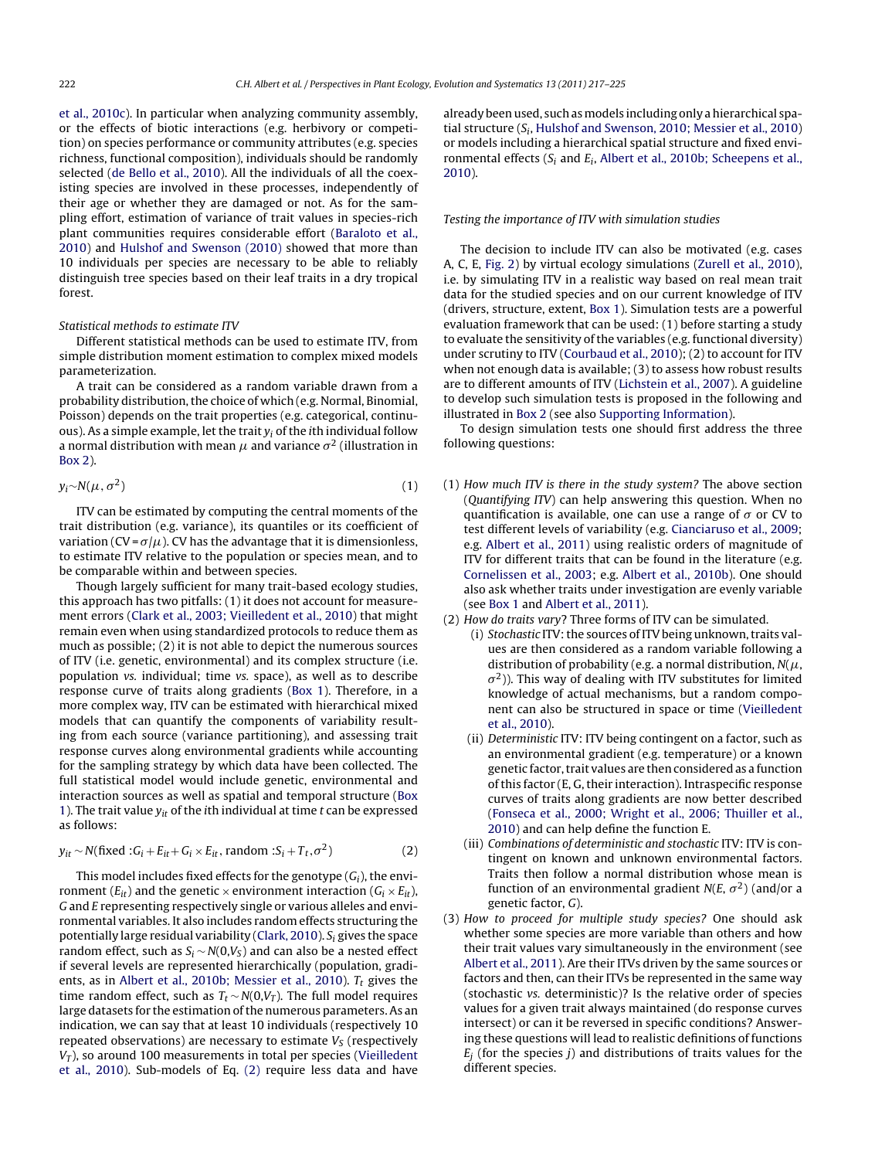et [al.,](#page-7-0) [2010c\).](#page-7-0) In particular when analyzing community assembly, or the effects of biotic interactions (e.g. herbivory or competition) on species performance or community attributes (e.g. species richness, functional composition), individuals should be randomly selected ([de](#page-7-0) [Bello](#page-7-0) et [al.,](#page-7-0) [2010\).](#page-7-0) All the individuals of all the coexisting species are involved in these processes, independently of their age or whether they are damaged or not. As for the sampling effort, estimation of variance of trait values in species-rich plant communities requires considerable effort [\(Baraloto](#page-7-0) et [al.,](#page-7-0) [2010\)](#page-7-0) and [Hulshof](#page-7-0) [and](#page-7-0) [Swenson](#page-7-0) [\(2010\)](#page-7-0) showed that more than 10 individuals per species are necessary to be able to reliably distinguish tree species based on their leaf traits in a dry tropical forest.

## Statistical methods to estimate ITV

Different statistical methods can be used to estimate ITV, from simple distribution moment estimation to complex mixed models parameterization.

A trait can be considered as a random variable drawn from a probability distribution, the choice of which (e.g. Normal, Binomial, Poisson) depends on the trait properties (e.g. categorical, continuous). As a simple example, let the trait  $y_i$  of the *i*th individual follow a normal distribution with mean  $\mu$  and variance  $\sigma^2$  (illustration in [Box](#page-4-0) [2\).](#page-4-0)

$$
y_i \sim N(\mu, \sigma^2) \tag{1}
$$

ITV can be estimated by computing the central moments of the trait distribution (e.g. variance), its quantiles or its coefficient of variation (CV= $\sigma/\mu$ ). CV has the advantage that it is dimensionless, to estimate ITV relative to the population or species mean, and to be comparable within and between species.

Though largely sufficient for many trait-based ecology studies, this approach has two pitfalls: (1) it does not account for measurement errors ([Clark](#page-7-0) et [al.,](#page-7-0) [2003;](#page-7-0) [Vieilledent](#page-7-0) et [al.,](#page-7-0) [2010\)](#page-7-0) that might remain even when using standardized protocols to reduce them as much as possible; (2) it is not able to depict the numerous sources of ITV (i.e. genetic, environmental) and its complex structure (i.e. population vs. individual; time vs. space), as well as to describe response curve of traits along gradients ([Box](#page-1-0) [1\).](#page-1-0) Therefore, in a more complex way, ITV can be estimated with hierarchical mixed models that can quantify the components of variability resulting from each source (variance partitioning), and assessing trait response curves along environmental gradients while accounting for the sampling strategy by which data have been collected. The full statistical model would include genetic, environmental and interaction sources as well as spatial and temporal structure ([Box](#page-1-0) [1\).](#page-1-0) The trait value  $y_{it}$  of the ith individual at time t can be expressed as follows:

$$
y_{it} \sim N(\text{fixed}: G_i + E_{it} + G_i \times E_{it}, \text{random}: S_i + T_t, \sigma^2)
$$
 (2)

This model includes fixed effects for the genotype  $(G_i)$ , the environment ( $E_{it}$ ) and the genetic  $\times$  environment interaction ( $G_i \times E_{it}$ ), G and E representing respectively single or various alleles and environmental variables. It also includes random effects structuring the potentially large residual variability ([Clark,](#page-7-0) [2010\).](#page-7-0)  $S_i$  gives the space random effect, such as  $S_i \sim N(0,V_s)$  and can also be a nested effect if several levels are represented hierarchically (population, gradi-ents, as in [Albert](#page-7-0) et [al.,](#page-7-0) [2010b;](#page-7-0) [Messier](#page-7-0) et al., [2010\).](#page-7-0)  $T_t$  gives the time random effect, such as  $T_t \sim N(0, V_T)$ . The full model requires large datasets for the estimation of the numerous parameters. As an indication, we can say that at least 10 individuals (respectively 10 repeated observations) are necessary to estimate  $V<sub>S</sub>$  (respectively  $V_T$ ), so around 100 measurements in total per species [\(Vieilledent](#page-8-0) et [al.,](#page-8-0) [2010\).](#page-8-0) Sub-models of Eq. (2) require less data and have already been used, such as models including only a hierarchical spatial structure (Si, [Hulshof](#page-7-0) [and](#page-7-0) [Swenson,](#page-7-0) [2010;](#page-7-0) [Messier](#page-7-0) et [al.,](#page-7-0) [2010\)](#page-7-0) or models including a hierarchical spatial structure and fixed environmental effects ( $S_i$  and  $E_i$ , [Albert](#page-7-0) et [al.,](#page-7-0) [2010b;](#page-7-0) [Scheepens](#page-7-0) et al., [2010\).](#page-7-0)

## Testing the importance of ITV with simulation studies

The decision to include ITV can also be motivated (e.g. cases A, C, E, [Fig.](#page-3-0) 2) by virtual ecology simulations [\(Zurell](#page-8-0) et [al.,](#page-8-0) [2010\),](#page-8-0) i.e. by simulating ITV in a realistic way based on real mean trait data for the studied species and on our current knowledge of ITV (drivers, structure, extent, [Box](#page-1-0) [1\).](#page-1-0) Simulation tests are a powerful evaluation framework that can be used: (1) before starting a study to evaluate the sensitivity of the variables (e.g. functional diversity) under scrutiny to ITV [\(Courbaud](#page-7-0) et [al.,](#page-7-0) [2010\);](#page-7-0) (2) to account for ITV when not enough data is available; (3) to assess how robust results are to different amounts of ITV ([Lichstein](#page-8-0) et [al.,](#page-8-0) [2007\).](#page-8-0) A guideline to develop such simulation tests is proposed in the following and illustrated in [Box](#page-4-0) [2](#page-4-0) (see also [Supporting](#page-7-0) [Information\).](#page-7-0)

To design simulation tests one should first address the three following questions:

- (1) How much ITV is there in the study system? The above section (Quantifying ITV) can help answering this question. When no quantification is available, one can use a range of  $\sigma$  or CV to test different levels of variability (e.g. [Cianciaruso](#page-7-0) et [al.,](#page-7-0) [2009;](#page-7-0) e.g. [Albert](#page-7-0) et [al.,](#page-7-0) [2011\)](#page-7-0) using realistic orders of magnitude of ITV for different traits that can be found in the literature (e.g. [Cornelissen](#page-7-0) et [al.,](#page-7-0) [2003;](#page-7-0) e.g. [Albert](#page-7-0) et [al.,](#page-7-0) [2010b\).](#page-7-0) One should also ask whether traits under investigation are evenly variable (see [Box](#page-1-0) [1](#page-1-0) and [Albert](#page-7-0) et [al.,](#page-7-0) [2011\).](#page-7-0)
- (2) How do traits vary? Three forms of ITV can be simulated.
	- $(i)$  Stochastic ITV: the sources of ITV being unknown, traits values are then considered as a random variable following a distribution of probability (e.g. a normal distribution,  $N(\mu,$  $\sigma^2$ )). This way of dealing with ITV substitutes for limited knowledge of actual mechanisms, but a random component can also be structured in space or time [\(Vieilledent](#page-8-0) et [al.,](#page-8-0) [2010\).](#page-8-0)
	- (ii) Deterministic ITV: ITV being contingent on a factor, such as an environmental gradient (e.g. temperature) or a known genetic factor, trait values are then considered as a function of this factor (E, G, their interaction). Intraspecific response curves of traits along gradients are now better described [\(Fonseca](#page-7-0) et [al.,](#page-7-0) [2000;](#page-7-0) [Wright](#page-7-0) et [al.,](#page-7-0) [2006;](#page-7-0) [Thuiller](#page-7-0) et [al.,](#page-7-0) [2010\)](#page-7-0) and can help define the function E.
	- (iii) Combinations of deterministic and stochastic ITV: ITV is contingent on known and unknown environmental factors. Traits then follow a normal distribution whose mean is function of an environmental gradient  $N(E, \sigma^2)$  (and/or a genetic factor, G).
- (3) How to proceed for multiple study species? One should ask whether some species are more variable than others and how their trait values vary simultaneously in the environment (see [Albert](#page-7-0) et [al.,](#page-7-0) [2011\).](#page-7-0) Are their ITVs driven by the same sources or factors and then, can their ITVs be represented in the same way (stochastic vs. deterministic)? Is the relative order of species values for a given trait always maintained (do response curves intersect) or can it be reversed in specific conditions? Answering these questions will lead to realistic definitions of functions  $E_i$  (for the species j) and distributions of traits values for the different species.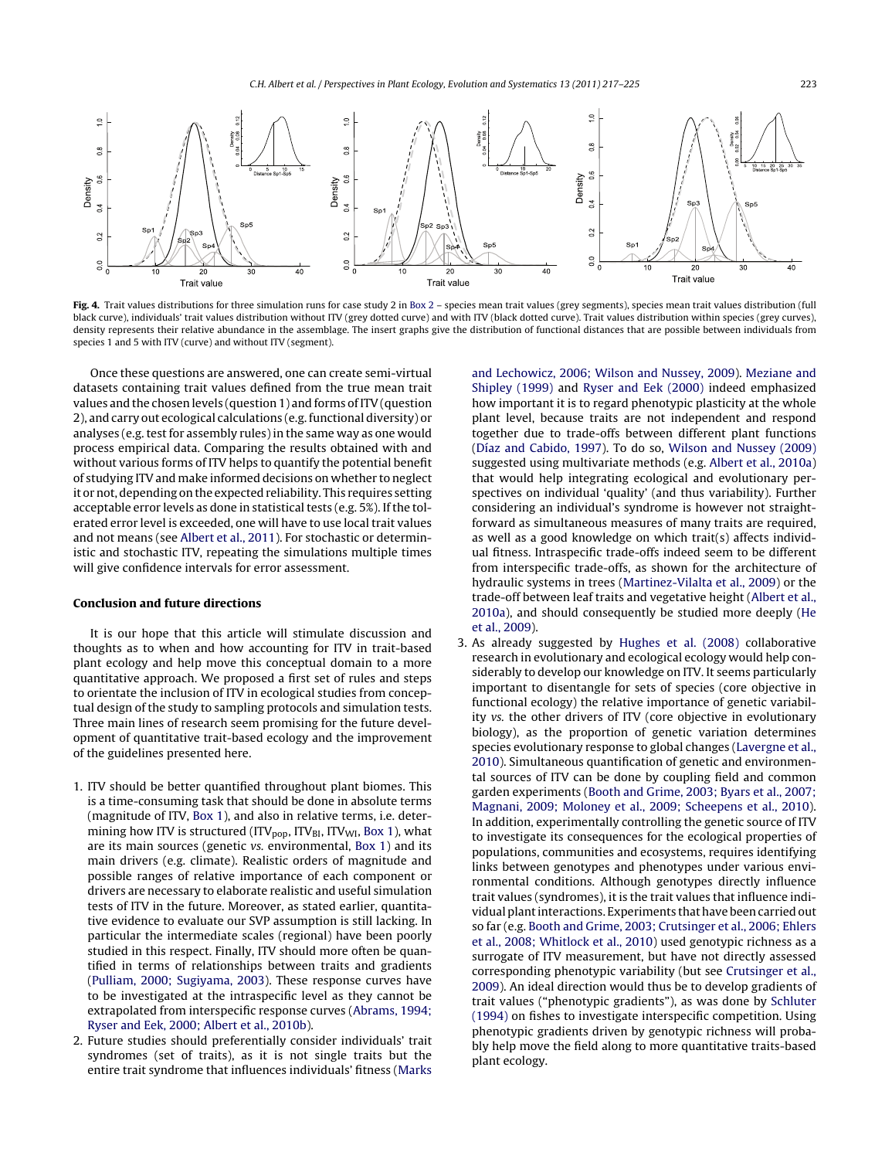<span id="page-6-0"></span>

**Fig. 4.** Trait values distributions for three simulation runs for case study 2 in [Box](#page-4-0) [2](#page-4-0) – species mean trait values (grey segments), species mean trait values distribution (full black curve), individuals' trait values distribution without ITV (grey dotted curve) and with ITV (black dotted curve). Trait values distribution within species (grey curves), density represents their relative abundance in the assemblage. The insert graphs give the distribution of functional distances that are possible between individuals from species 1 and 5 with ITV (curve) and without ITV (segment).

Once these questions are answered, one can create semi-virtual datasets containing trait values defined from the true mean trait values and the chosen levels (question 1) and forms of ITV (question 2), and carry out ecological calculations (e.g.functional diversity) or analyses (e.g. test for assembly rules) in the same way as one would process empirical data. Comparing the results obtained with and without various forms of ITV helps to quantify the potential benefit of studying ITV and make informed decisions on whether to neglect it or not, depending on the expected reliability. This requires setting acceptable error levels as done in statistical tests (e.g.  $5\%$ ). If the tolerated error level is exceeded, one will have to use local trait values and not means (see [Albert](#page-7-0) et [al.,](#page-7-0) [2011\).](#page-7-0) For stochastic or deterministic and stochastic ITV, repeating the simulations multiple times will give confidence intervals for error assessment.

# **Conclusion and future directions**

It is our hope that this article will stimulate discussion and thoughts as to when and how accounting for ITV in trait-based plant ecology and help move this conceptual domain to a more quantitative approach. We proposed a first set of rules and steps to orientate the inclusion of ITV in ecological studies from conceptual design of the study to sampling protocols and simulation tests. Three main lines of research seem promising for the future development of quantitative trait-based ecology and the improvement of the guidelines presented here.

- 1. ITV should be better quantified throughout plant biomes. This is a time-consuming task that should be done in absolute terms (magnitude of ITV, [Box](#page-1-0) [1\),](#page-1-0) and also in relative terms, i.e. determining how ITV is structured (ITV<sub>pop</sub>, ITV $_{BI}$ , ITV<sub>WI</sub>, [Box](#page-1-0) [1\),](#page-1-0) what are its main sources (genetic vs. environmental, [Box](#page-1-0) [1\)](#page-1-0) and its main drivers (e.g. climate). Realistic orders of magnitude and possible ranges of relative importance of each component or drivers are necessary to elaborate realistic and useful simulation tests of ITV in the future. Moreover, as stated earlier, quantitative evidence to evaluate our SVP assumption is still lacking. In particular the intermediate scales (regional) have been poorly studied in this respect. Finally, ITV should more often be quantified in terms of relationships between traits and gradients ([Pulliam,](#page-8-0) [2000;](#page-8-0) [Sugiyama,](#page-8-0) [2003\).](#page-8-0) These response curves have to be investigated at the intraspecific level as they cannot be extrapolated from interspecific response curves [\(Abrams,](#page-7-0) [1994;](#page-7-0) [Ryser](#page-7-0) [and](#page-7-0) [Eek,](#page-7-0) [2000;](#page-7-0) [Albert](#page-7-0) et [al.,](#page-7-0) [2010b\).](#page-7-0)
- 2. Future studies should preferentially consider individuals' trait syndromes (set of traits), as it is not single traits but the entire trait syndrome that influences individuals' fitness [\(Marks](#page-8-0)

[and](#page-8-0) [Lechowicz,](#page-8-0) [2006;](#page-8-0) [Wilson](#page-8-0) [and](#page-8-0) [Nussey,](#page-8-0) [2009\).](#page-8-0) [Meziane](#page-8-0) [and](#page-8-0) [Shipley](#page-8-0) [\(1999\)](#page-8-0) and [Ryser](#page-8-0) [and](#page-8-0) [Eek](#page-8-0) [\(2000\)](#page-8-0) indeed emphasized how important it is to regard phenotypic plasticity at the whole plant level, because traits are not independent and respond together due to trade-offs between different plant functions ([Díaz](#page-7-0) [and](#page-7-0) [Cabido,](#page-7-0) [1997\).](#page-7-0) To do so, [Wilson](#page-8-0) [and](#page-8-0) [Nussey](#page-8-0) [\(2009\)](#page-8-0) suggested using multivariate methods (e.g. [Albert](#page-7-0) et [al.,](#page-7-0) [2010a\)](#page-7-0) that would help integrating ecological and evolutionary perspectives on individual 'quality' (and thus variability). Further considering an individual's syndrome is however not straightforward as simultaneous measures of many traits are required, as well as a good knowledge on which trait(s) affects individual fitness. Intraspecific trade-offs indeed seem to be different from interspecific trade-offs, as shown for the architecture of hydraulic systems in trees ([Martinez-Vilalta](#page-8-0) et [al.,](#page-8-0) [2009\)](#page-8-0) or the trade-off between leaf traits and vegetative height [\(Albert](#page-7-0) et [al.,](#page-7-0) [2010a\),](#page-7-0) and should consequently be studied more deeply [\(He](#page-7-0) et [al.,](#page-7-0) [2009\).](#page-7-0)

3. As already suggested by [Hughes](#page-7-0) et [al.](#page-7-0) [\(2008\)](#page-7-0) collaborative research in evolutionary and ecological ecology would help considerably to develop our knowledge on ITV. It seems particularly important to disentangle for sets of species (core objective in functional ecology) the relative importance of genetic variability vs. the other drivers of ITV (core objective in evolutionary biology), as the proportion of genetic variation determines species evolutionary response to global changes ([Lavergne](#page-8-0) et [al.,](#page-8-0) [2010\).](#page-8-0) Simultaneous quantification of genetic and environmental sources of ITV can be done by coupling field and common garden experiments [\(Booth](#page-7-0) [and](#page-7-0) [Grime,](#page-7-0) [2003;](#page-7-0) [Byars](#page-7-0) et [al.,](#page-7-0) [2007;](#page-7-0) [Magnani,](#page-7-0) [2009;](#page-7-0) [Moloney](#page-7-0) et [al.,](#page-7-0) [2009;](#page-7-0) [Scheepens](#page-7-0) et [al.,](#page-7-0) [2010\).](#page-7-0) In addition, experimentally controlling the genetic source of ITV to investigate its consequences for the ecological properties of populations, communities and ecosystems, requires identifying links between genotypes and phenotypes under various environmental conditions. Although genotypes directly influence trait values (syndromes), it is the trait values that influence individual plant interactions. Experiments that have been carried out so far (e.g. [Booth](#page-7-0) [and](#page-7-0) [Grime,](#page-7-0) [2003;](#page-7-0) [Crutsinger](#page-7-0) et [al.,](#page-7-0) [2006;](#page-7-0) [Ehlers](#page-7-0) et [al.,](#page-7-0) [2008;](#page-7-0) [Whitlock](#page-7-0) et [al.,](#page-7-0) [2010\)](#page-7-0) used genotypic richness as a surrogate of ITV measurement, but have not directly assessed corresponding phenotypic variability (but see [Crutsinger](#page-7-0) et [al.,](#page-7-0) [2009\).](#page-7-0) An ideal direction would thus be to develop gradients of trait values ("phenotypic gradients"), as was done by [Schluter](#page-8-0) [\(1994\)](#page-8-0) on fishes to investigate interspecific competition. Using phenotypic gradients driven by genotypic richness will probably help move the field along to more quantitative traits-based plant ecology.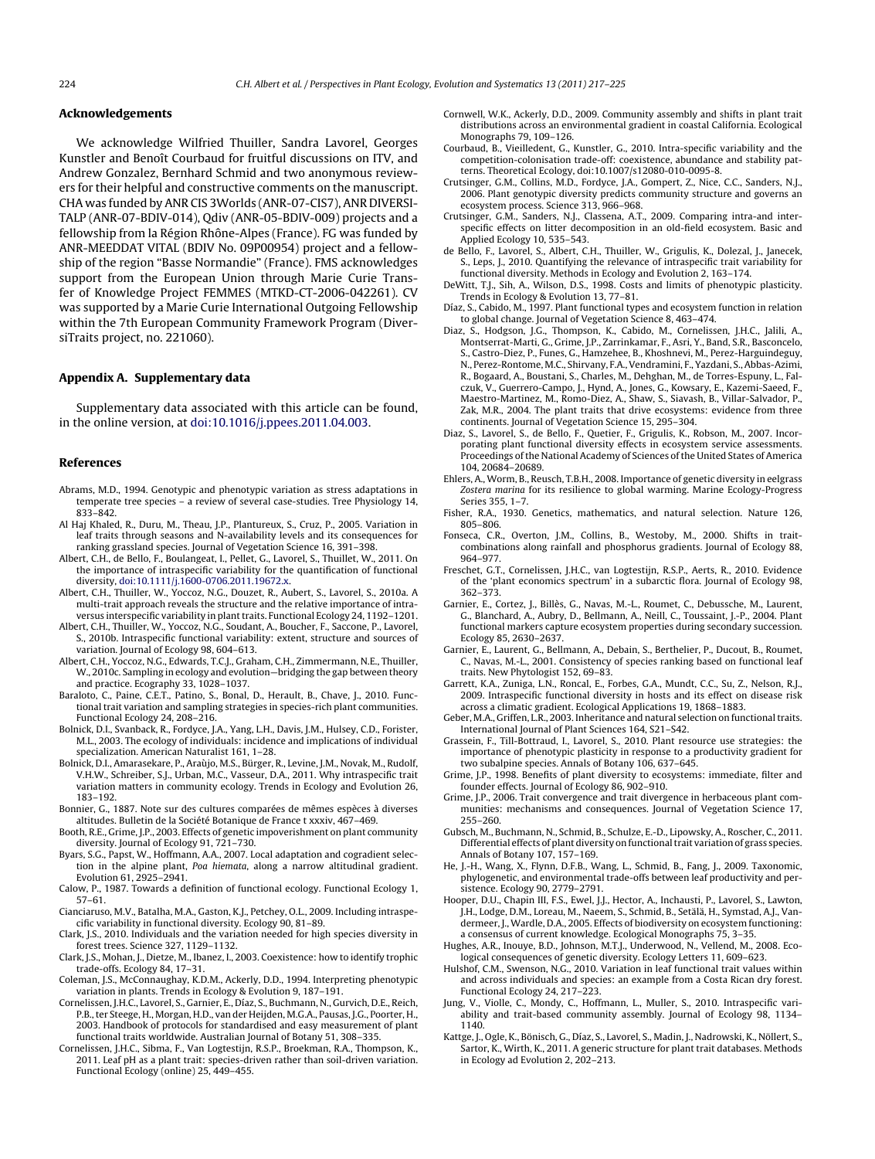#### <span id="page-7-0"></span>**Acknowledgements**

We acknowledge Wilfried Thuiller, Sandra Lavorel, Georges Kunstler and Benoît Courbaud for fruitful discussions on ITV, and Andrew Gonzalez, Bernhard Schmid and two anonymous reviewers for their helpful and constructive comments on the manuscript. CHA was funded by ANR CIS 3Worlds (ANR-07-CIS7), ANR DIVERSI-TALP (ANR-07-BDIV-014), Qdiv (ANR-05-BDIV-009) projects and a fellowship from la Région Rhône-Alpes (France). FG was funded by ANR-MEEDDAT VITAL (BDIV No. 09P00954) project and a fellowship of the region "Basse Normandie" (France). FMS acknowledges support from the European Union through Marie Curie Transfer of Knowledge Project FEMMES (MTKD-CT-2006-042261). CV was supported by a Marie Curie International Outgoing Fellowship within the 7th European Community Framework Program (DiversiTraits project, no. 221060).

#### **Appendix A. Supplementary data**

Supplementary data associated with this article can be found, in the online version, at [doi:10.1016/j.ppees.2011.04.003](http://dx.doi.org/10.1016/j.ppees.2011.04.003).

#### **References**

- Abrams, M.D., 1994. Genotypic and phenotypic variation as stress adaptations in temperate tree species – a review of several case-studies. Tree Physiology 14, 833–842.
- Al Haj Khaled, R., Duru, M., Theau, J.P., Plantureux, S., Cruz, P., 2005. Variation in leaf traits through seasons and N-availability levels and its consequences for ranking grassland species. Journal of Vegetation Science 16, 391–398.
- Albert, C.H., de Bello, F., Boulangeat, I., Pellet, G., Lavorel, S., Thuillet, W., 2011. On the importance of intraspecific variability for the quantification of functional diversity, [doi:10.1111/j.1600-0706.2011.19672.x.](http://dx.doi.org/10.1111/j.1600-0706.2011.19672.x)
- Albert, C.H., Thuiller, W., Yoccoz, N.G., Douzet, R., Aubert, S., Lavorel, S., 2010a. A multi-trait approach reveals the structure and the relative importance of intraversus interspecific variability in plant traits. Functional Ecology 24, 1192-1201.
- Albert, C.H., Thuiller, W., Yoccoz, N.G., Soudant, A., Boucher, F., Saccone, P., Lavorel, S., 2010b. Intraspecific functional variability: extent, structure and sources of variation. Journal of Ecology 98, 604–613.
- Albert, C.H., Yoccoz, N.G., Edwards, T.C.J., Graham, C.H., Zimmermann, N.E., Thuiller, W., 2010c. Sampling in ecology and evolution—bridging the gap between theory and practice. Ecography 33, 1028–1037.
- Baraloto, C., Paine, C.E.T., Patino, S., Bonal, D., Herault, B., Chave, J., 2010. Functional trait variation and sampling strategies in species-rich plant communities. Functional Ecology 24, 208–216.
- Bolnick, D.I., Svanback, R., Fordyce, J.A., Yang, L.H., Davis, J.M., Hulsey, C.D., Forister, M.L., 2003. The ecology of individuals: incidence and implications of individual specialization. American Naturalist 161, 1–28.
- Bolnick, D.I., Amarasekare, P., Araùjo, M.S., Bürger, R., Levine, J.M., Novak, M., Rudolf, V.H.W., Schreiber, S.J., Urban, M.C., Vasseur, D.A., 2011. Why intraspecific trait variation matters in community ecology. Trends in Ecology and Evolution 26, 183–192.
- Bonnier, G., 1887. Note sur des cultures comparées de mêmes espèces à diverses altitudes. Bulletin de la Société Botanique de France t xxxiv, 467–469.
- Booth, R.E., Grime, J.P., 2003. Effects of genetic impoverishment on plant community diversity. Journal of Ecology 91, 721-730.
- Byars, S.G., Papst, W., Hoffmann, A.A., 2007. Local adaptation and cogradient selection in the alpine plant, Poa hiemata, along a narrow altitudinal gradient. Evolution 61, 2925–2941.
- Calow, P., 1987. Towards a definition of functional ecology. Functional Ecology 1, 57–61.
- Cianciaruso, M.V., Batalha, M.A., Gaston, K.J., Petchey, O.L., 2009. Including intraspecific variability in functional diversity. Ecology 90, 81–89.
- Clark, J.S., 2010. Individuals and the variation needed for high species diversity in forest trees. Science 327, 1129–1132.
- Clark, J.S., Mohan, J., Dietze, M., Ibanez, I., 2003. Coexistence: how to identify trophic trade-offs. Ecology 84, 17–31.
- Coleman, J.S., McConnaughay, K.D.M., Ackerly, D.D., 1994. Interpreting phenotypic variation in plants. Trends in Ecology & Evolution 9, 187–191.
- Cornelissen, J.H.C., Lavorel, S., Garnier, E., Díaz, S., Buchmann, N., Gurvich, D.E., Reich, P.B.,ter Steege, H., Morgan, H.D., van der Heijden, M.G.A., Pausas, J.G., Poorter, H., 2003. Handbook of protocols for standardised and easy measurement of plant functional traits worldwide. Australian Journal of Botany 51, 308–335.
- Cornelissen, J.H.C., Sibma, F., Van Logtestijn, R.S.P., Broekman, R.A., Thompson, K., 2011. Leaf pH as a plant trait: species-driven rather than soil-driven variation. Functional Ecology (online) 25, 449–455.
- Cornwell, W.K., Ackerly, D.D., 2009. Community assembly and shifts in plant trait distributions across an environmental gradient in coastal California. Ecological Monographs 79, 109–126.
- Courbaud, B., Vieilledent, G., Kunstler, G., 2010. Intra-specific variability and the competition-colonisation trade-off: coexistence, abundance and stability patterns. Theoretical Ecology, doi:10.1007/s12080-010-0095-8.
- Crutsinger, G.M., Collins, M.D., Fordyce, J.A., Gompert, Z., Nice, C.C., Sanders, N.J., 2006. Plant genotypic diversity predicts community structure and governs an ecosystem process. Science 313, 966–968.
- Crutsinger, G.M., Sanders, N.J., Classena, A.T., 2009. Comparing intra-and interspecific effects on litter decomposition in an old-field ecosystem. Basic and Applied Ecology 10, 535–543.
- de Bello, F., Lavorel, S., Albert, C.H., Thuiller, W., Grigulis, K., Dolezal, J., Janecek, S., Leps, J., 2010. Quantifying the relevance of intraspecific trait variability for functional diversity. Methods in Ecology and Evolution 2, 163–174.
- DeWitt, T.J., Sih, A., Wilson, D.S., 1998. Costs and limits of phenotypic plasticity. Trends in Ecology & Evolution 13, 77–81.
- Díaz, S., Cabido, M., 1997. Plant functional types and ecosystem function in relation to global change. Journal of Vegetation Science 8, 463–474.
- Diaz, S., Hodgson, J.G., Thompson, K., Cabido, M., Cornelissen, J.H.C., Jalili, A., Montserrat-Marti, G., Grime, J.P., Zarrinkamar, F., Asri, Y., Band, S.R., Basconcelo, S., Castro-Diez, P., Funes, G., Hamzehee, B., Khoshnevi, M., Perez-Harguindeguy, N., Perez-Rontome, M.C., Shirvany, F.A.,Vendramini, F., Yazdani, S.,Abbas-Azimi, R., Bogaard, A., Boustani, S., Charles, M., Dehghan, M., de Torres-Espuny, L., Falczuk, V., Guerrero-Campo, J., Hynd, A., Jones, G., Kowsary, E., Kazemi-Saeed, F., Maestro-Martinez, M., Romo-Diez, A., Shaw, S., Siavash, B., Villar-Salvador, P., Zak, M.R., 2004. The plant traits that drive ecosystems: evidence from three continents. Journal of Vegetation Science 15, 295–304.
- Diaz, S., Lavorel, S., de Bello, F., Quetier, F., Grigulis, K., Robson, M., 2007. Incorporating plant functional diversity effects in ecosystem service assessments. Proceedings of the National Academy of Sciences of the United States of America 104, 20684–20689.
- Ehlers, A., Worm, B., Reusch, T.B.H., 2008. Importance of genetic diversity in eelgrass Zostera marina for its resilience to global warming. Marine Ecology-Progress Series 355, 1–7.
- Fisher, R.A., 1930. Genetics, mathematics, and natural selection. Nature 126, 805–806.
- Fonseca, C.R., Overton, J.M., Collins, B., Westoby, M., 2000. Shifts in traitcombinations along rainfall and phosphorus gradients. Journal of Ecology 88, 964–977.
- Freschet, G.T., Cornelissen, J.H.C., van Logtestijn, R.S.P., Aerts, R., 2010. Evidence of the 'plant economics spectrum' in a subarctic flora. Journal of Ecology 98, 362–373.
- Garnier, E., Cortez, J., Billès, G., Navas, M.-L., Roumet, C., Debussche, M., Laurent, G., Blanchard, A., Aubry, D., Bellmann, A., Neill, C., Toussaint, J.-P., 2004. Plant functional markers capture ecosystem properties during secondary succession. Ecology 85, 2630–2637.
- Garnier, E., Laurent, G., Bellmann, A., Debain, S., Berthelier, P., Ducout, B., Roumet, C., Navas, M.-L., 2001. Consistency of species ranking based on functional leaf traits. New Phytologist 152, 69–83.
- Garrett, K.A., Zuniga, L.N., Roncal, E., Forbes, G.A., Mundt, C.C., Su, Z., Nelson, R.J., 2009. Intraspecific functional diversity in hosts and its effect on disease risk across a climatic gradient. Ecological Applications 19, 1868–1883.
- Geber, M.A., Griffen, L.R., 2003. Inheritance and natural selection on functional traits. International Journal of Plant Sciences 164, S21–S42.
- Grassein, F., Till-Bottraud, I., Lavorel, S., 2010. Plant resource use strategies: the importance of phenotypic plasticity in response to a productivity gradient for two subalpine species. Annals of Botany 106, 637–645.
- Grime, J.P., 1998. Benefits of plant diversity to ecosystems: immediate, filter and founder effects. Journal of Ecology 86, 902–910.
- Grime, J.P., 2006. Trait convergence and trait divergence in herbaceous plant communities: mechanisms and consequences. Journal of Vegetation Science 17, 255–260.
- Gubsch, M., Buchmann, N., Schmid, B., Schulze, E.-D., Lipowsky, A., Roscher, C., 2011. Differential effects of plant diversity on functionaltrait variation of grass species. Annals of Botany 107, 157–169.
- He, J.-H., Wang, X., Flynn, D.F.B., Wang, L., Schmid, B., Fang, J., 2009. Taxonomic, phylogenetic, and environmental trade-offs between leaf productivity and persistence. Ecology 90, 2779–2791.
- Hooper, D.U., Chapin III, F.S., Ewel, J.J., Hector, A., Inchausti, P., Lavorel, S., Lawton, J.H., Lodge, D.M., Loreau, M., Naeem, S., Schmid, B., Setälä, H., Symstad, A.J., Vandermeer, J., Wardle, D.A., 2005. Effects of biodiversity on ecosystem functioning: a consensus of current knowledge. Ecological Monographs 75, 3–35.
- Hughes, A.R., Inouye, B.D., Johnson, M.T.J., Underwood, N., Vellend, M., 2008. Ecological consequences of genetic diversity. Ecology Letters 11, 609–623.
- Hulshof, C.M., Swenson, N.G., 2010. Variation in leaf functional trait values within and across individuals and species: an example from a Costa Rican dry forest. Functional Ecology 24, 217–223.
- Jung, V., Violle, C., Mondy, C., Hoffmann, L., Muller, S., 2010. Intraspecific variability and trait-based community assembly. Journal of Ecology 98, 1134– 1140.
- Kattge, J., Ogle, K., Bönisch, G., Díaz, S., Lavorel, S., Madin, J., Nadrowski, K., Nöllert, S., Sartor, K., Wirth, K., 2011. A generic structure for plant trait databases. Methods in Ecology ad Evolution 2, 202–213.